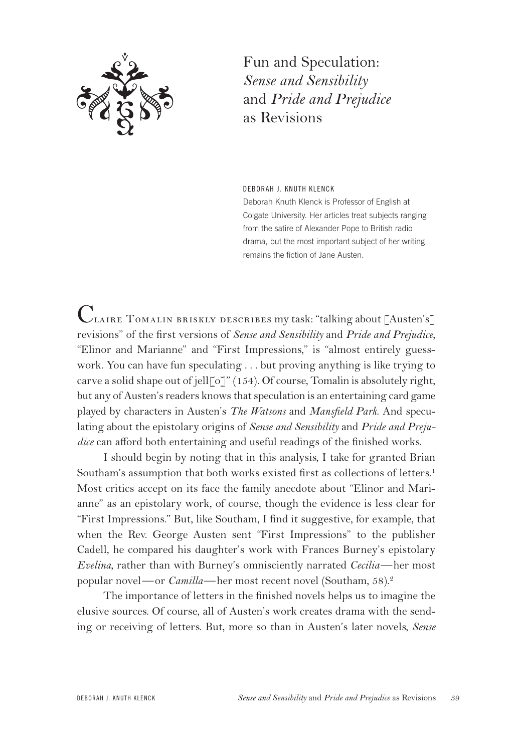

Fun and Speculation: *Sense and Sensibility* and *Pride and Prejudice* as Revisions

DEBORAH J. KNUTH KLENCK

Deborah Knuth Klenck is Professor of English at Colgate University. Her articles treat subjects ranging from the satire of Alexander Pope to British radio drama, but the most important subject of her writing remains the fiction of Jane Austen.

Claire Tomalin briskly describes my task: "talking about [Austen's] revisions" of the first versions of *Sense and Sensibility* and *Pride and Prejudice*, "Elinor and Marianne" and "First Impressions," is "almost entirely guesswork. You can have fun speculating . . . but proving anything is like trying to carve a solid shape out of jell $\lceil o \rceil$ " (154). Of course, Tomalin is absolutely right, but any of Austen's readers knows that speculation is an entertaining card game played by characters in Austen's *The Watsons* and *Mansfield Park*. And speculating about the epistolary origins of *Sense and Sensibility* and *Pride and Prejudice* can afford both entertaining and useful readings of the finished works.

I should begin by noting that in this analysis, I take for granted Brian Southam's assumption that both works existed first as collections of letters.<sup>1</sup> Most critics accept on its face the family anecdote about "Elinor and Marianne" as an epistolary work, of course, though the evidence is less clear for "First Impressions." But, like Southam, I find it suggestive, for example, that when the Rev. George Austen sent "First Impressions" to the publisher Cadell, he compared his daughter's work with Frances Burney's epistolary *Evelina*, rather than with Burney's omnisciently narrated *Cecilia*—her most popular novel—or *Camilla*—her most recent novel (Southam, 58).<sup>2</sup>

The importance of letters in the finished novels helps us to imagine the elusive sources. Of course, all of Austen's work creates drama with the sending or receiving of letters. But, more so than in Austen's later novels, *Sense*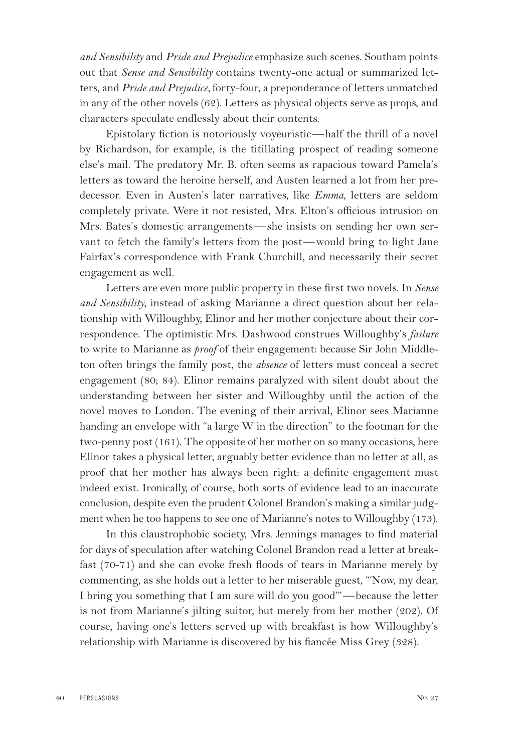*and Sensibility* and *Pride and Prejudice* emphasize such scenes. Southam points out that *Sense and Sensibility* contains twenty-one actual or summarized letters, and *Pride and Prejudice,* forty-four, a preponderance of letters unmatched in any of the other novels (62). Letters as physical objects serve as props, and characters speculate endlessly about their contents.

Epistolary fiction is notoriously voyeuristic—half the thrill of a novel by Richardson, for example, is the titillating prospect of reading someone else's mail. The predatory Mr. B. often seems as rapacious toward Pamela's letters as toward the heroine herself, and Austen learned a lot from her predecessor. Even in Austen's later narratives, like *Emma*, letters are seldom completely private. Were it not resisted, Mrs. Elton's officious intrusion on Mrs. Bates's domestic arrangements—she insists on sending her own servant to fetch the family's letters from the post—would bring to light Jane Fairfax's correspondence with Frank Churchill, and necessarily their secret engagement as well.

Letters are even more public property in these first two novels. In *Sense and Sensibility*, instead of asking Marianne a direct question about her relationship with Willoughby, Elinor and her mother conjecture about their correspondence. The optimistic Mrs. Dashwood construes Willoughby's *failure* to write to Marianne as *proof* of their engagement: because Sir John Middleton often brings the family post, the *absence* of letters must conceal a secret engagement (80; 84). Elinor remains paralyzed with silent doubt about the understanding between her sister and Willoughby until the action of the novel moves to London. The evening of their arrival, Elinor sees Marianne handing an envelope with "a large W in the direction" to the footman for the two-penny post (161). The opposite of her mother on so many occasions, here Elinor takes a physical letter, arguably better evidence than no letter at all, as proof that her mother has always been right: a definite engagement must indeed exist. Ironically, of course, both sorts of evidence lead to an inaccurate conclusion, despite even the prudent Colonel Brandon's making a similar judgment when he too happens to see one of Marianne's notes to Willoughby (173).

In this claustrophobic society, Mrs. Jennings manages to find material for days of speculation after watching Colonel Brandon read a letter at breakfast (70-71) and she can evoke fresh floods of tears in Marianne merely by commenting, as she holds out a letter to her miserable guest, "'Now, my dear, I bring you something that I am sure will do you good'"—because the letter is not from Marianne's jilting suitor, but merely from her mother (202). Of course, having one's letters served up with breakfast is how Willoughby's relationship with Marianne is discovered by his fiancée Miss Grey (328).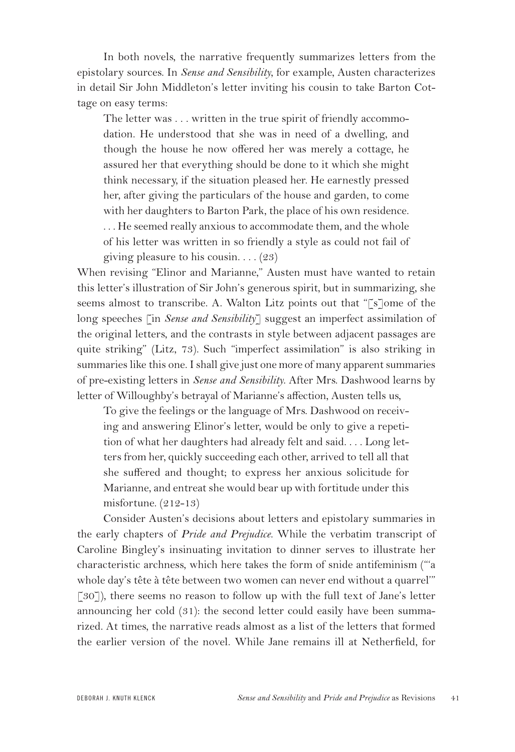In both novels, the narrative frequently summarizes letters from the epistolary sources. In *Sense and Sensibility*, for example, Austen characterizes in detail Sir John Middleton's letter inviting his cousin to take Barton Cottage on easy terms:

The letter was . . . written in the true spirit of friendly accommodation. He understood that she was in need of a dwelling, and though the house he now offered her was merely a cottage, he assured her that everything should be done to it which she might think necessary, if the situation pleased her. He earnestly pressed her, after giving the particulars of the house and garden, to come with her daughters to Barton Park, the place of his own residence. . . . He seemed really anxious to accommodate them, and the whole of his letter was written in so friendly a style as could not fail of giving pleasure to his cousin.  $\ldots$  (23)

When revising "Elinor and Marianne," Austen must have wanted to retain this letter's illustration of Sir John's generous spirit, but in summarizing, she seems almost to transcribe. A. Walton Litz points out that "[s]ome of the long speeches [in *Sense and Sensibility*] suggest an imperfect assimilation of the original letters, and the contrasts in style between adjacent passages are quite striking" (Litz, 73). Such "imperfect assimilation" is also striking in summaries like this one. I shall give just one more of many apparent summaries of pre-existing letters in *Sense and Sensibility*. After Mrs. Dashwood learns by letter of Willoughby's betrayal of Marianne's affection, Austen tells us,

To give the feelings or the language of Mrs. Dashwood on receiving and answering Elinor's letter, would be only to give a repetition of what her daughters had already felt and said. . . . Long letters from her, quickly succeeding each other, arrived to tell all that she suffered and thought; to express her anxious solicitude for Marianne, and entreat she would bear up with fortitude under this misfortune. (212-13)

Consider Austen's decisions about letters and epistolary summaries in the early chapters of *Pride and Prejudice*. While the verbatim transcript of Caroline Bingley's insinuating invitation to dinner serves to illustrate her characteristic archness, which here takes the form of snide antifeminism ("'a whole day's tête à tête between two women can never end without a quarrel'" [30]), there seems no reason to follow up with the full text of Jane's letter announcing her cold (31): the second letter could easily have been summarized. At times, the narrative reads almost as a list of the letters that formed the earlier version of the novel. While Jane remains ill at Netherfield, for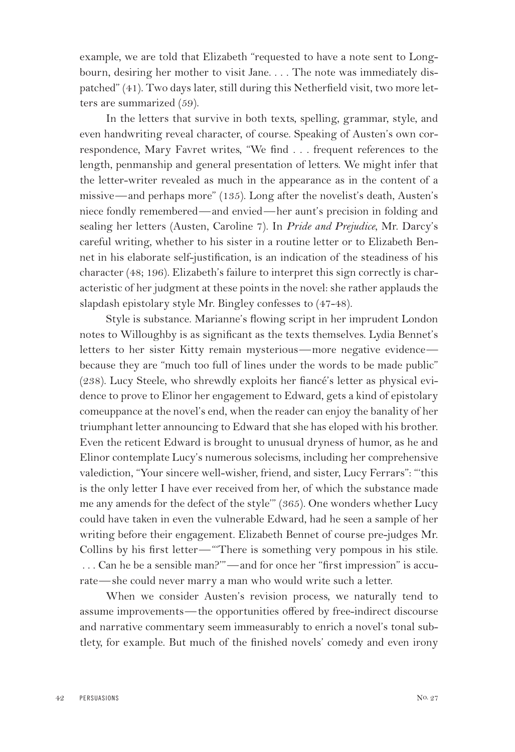example, we are told that Elizabeth "requested to have a note sent to Longbourn, desiring her mother to visit Jane. . . . The note was immediately dispatched" (41). Two days later, still during this Netherfield visit, two more letters are summarized (59).

In the letters that survive in both texts, spelling, grammar, style, and even handwriting reveal character, of course. Speaking of Austen's own correspondence, Mary Favret writes, "We find . . . frequent references to the length, penmanship and general presentation of letters. We might infer that the letter-writer revealed as much in the appearance as in the content of a missive—and perhaps more" (135). Long after the novelist's death, Austen's niece fondly remembered—and envied—her aunt's precision in folding and sealing her letters (Austen, Caroline 7). In *Pride and Prejudice*, Mr. Darcy's careful writing, whether to his sister in a routine letter or to Elizabeth Bennet in his elaborate self-justification, is an indication of the steadiness of his character (48; 196). Elizabeth's failure to interpret this sign correctly is characteristic of her judgment at these points in the novel: she rather applauds the slapdash epistolary style Mr. Bingley confesses to (47-48).

Style is substance. Marianne's flowing script in her imprudent London notes to Willoughby is as significant as the texts themselves. Lydia Bennet's letters to her sister Kitty remain mysterious—more negative evidence because they are "much too full of lines under the words to be made public" (238). Lucy Steele, who shrewdly exploits her fiancé's letter as physical evidence to prove to Elinor her engagement to Edward, gets a kind of epistolary comeuppance at the novel's end, when the reader can enjoy the banality of her triumphant letter announcing to Edward that she has eloped with his brother. Even the reticent Edward is brought to unusual dryness of humor, as he and Elinor contemplate Lucy's numerous solecisms, including her comprehensive valediction, "Your sincere well-wisher, friend, and sister, Lucy Ferrars": "'this is the only letter I have ever received from her, of which the substance made me any amends for the defect of the style'" (365). One wonders whether Lucy could have taken in even the vulnerable Edward, had he seen a sample of her writing before their engagement. Elizabeth Bennet of course pre-judges Mr. Collins by his first letter—"'There is something very pompous in his stile. . . . Can he be a sensible man?'"—and for once her "first impression" is accurate—she could never marry a man who would write such a letter.

When we consider Austen's revision process, we naturally tend to assume improvements—the opportunities offered by free-indirect discourse and narrative commentary seem immeasurably to enrich a novel's tonal subtlety, for example. But much of the finished novels' comedy and even irony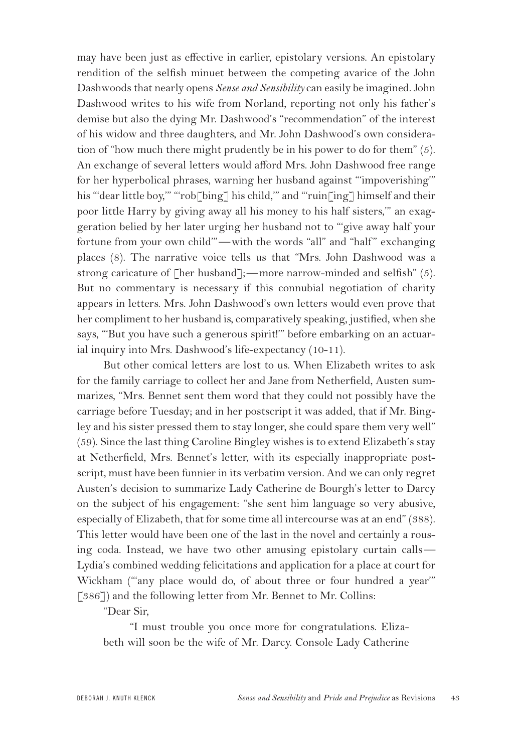may have been just as effective in earlier, epistolary versions. An epistolary rendition of the selfish minuet between the competing avarice of the John Dashwoods that nearly opens *Sense and Sensibility* can easily be imagined. John Dashwood writes to his wife from Norland, reporting not only his father's demise but also the dying Mr. Dashwood's "recommendation" of the interest of his widow and three daughters, and Mr. John Dashwood's own consideration of "how much there might prudently be in his power to do for them" (5). An exchange of several letters would afford Mrs. John Dashwood free range for her hyperbolical phrases, warning her husband against "'impoverishing'" his "'dear little boy," "'rob['bing'] his child," and "'ruin['ing'] himself and their poor little Harry by giving away all his money to his half sisters,'" an exaggeration belied by her later urging her husband not to "'give away half your fortune from your own child"—with the words "all" and "half" exchanging places (8). The narrative voice tells us that "Mrs. John Dashwood was a strong caricature of [her husband];—more narrow-minded and selfish" (5). But no commentary is necessary if this connubial negotiation of charity appears in letters. Mrs. John Dashwood's own letters would even prove that her compliment to her husband is, comparatively speaking, justified, when she says, "'But you have such a generous spirit!'" before embarking on an actuarial inquiry into Mrs. Dashwood's life-expectancy (10-11).

But other comical letters are lost to us. When Elizabeth writes to ask for the family carriage to collect her and Jane from Netherfield, Austen summarizes, "Mrs. Bennet sent them word that they could not possibly have the carriage before Tuesday; and in her postscript it was added, that if Mr. Bingley and his sister pressed them to stay longer, she could spare them very well" (59). Since the last thing Caroline Bingley wishes is to extend Elizabeth's stay at Netherfield, Mrs. Bennet's letter, with its especially inappropriate postscript, must have been funnier in its verbatim version. And we can only regret Austen's decision to summarize Lady Catherine de Bourgh's letter to Darcy on the subject of his engagement: "she sent him language so very abusive, especially of Elizabeth, that for some time all intercourse was at an end" (388). This letter would have been one of the last in the novel and certainly a rousing coda. Instead, we have two other amusing epistolary curtain calls— Lydia's combined wedding felicitations and application for a place at court for Wickham ("'any place would do, of about three or four hundred a year'" [386]) and the following letter from Mr. Bennet to Mr. Collins:

"Dear Sir,

"I must trouble you once more for congratulations. Elizabeth will soon be the wife of Mr. Darcy. Console Lady Catherine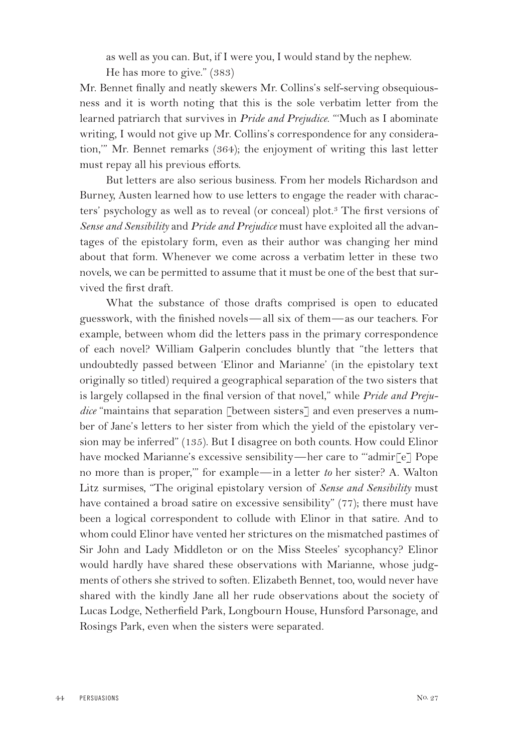as well as you can. But, if I were you, I would stand by the nephew.

He has more to give." (383)

Mr. Bennet finally and neatly skewers Mr. Collins's self-serving obsequiousness and it is worth noting that this is the sole verbatim letter from the learned patriarch that survives in *Pride and Prejudice*. "'Much as I abominate writing, I would not give up Mr. Collins's correspondence for any consideration,'" Mr. Bennet remarks (364); the enjoyment of writing this last letter must repay all his previous efforts.

But letters are also serious business. From her models Richardson and Burney, Austen learned how to use letters to engage the reader with characters' psychology as well as to reveal (or conceal) plot.<sup>3</sup> The first versions of *Sense and Sensibility* and *Pride and Prejudice* must have exploited all the advantages of the epistolary form, even as their author was changing her mind about that form. Whenever we come across a verbatim letter in these two novels, we can be permitted to assume that it must be one of the best that survived the first draft.

What the substance of those drafts comprised is open to educated guesswork, with the finished novels— all six of them—as our teachers. For example, between whom did the letters pass in the primary correspondence of each novel? William Galperin concludes bluntly that "the letters that undoubtedly passed between 'Elinor and Marianne' (in the epistolary text originally so titled) required a geographical separation of the two sisters that is largely collapsed in the final version of that novel," while *Pride and Prejudice* "maintains that separation [between sisters] and even preserves a number of Jane's letters to her sister from which the yield of the epistolary version may be inferred" (135). But I disagree on both counts. How could Elinor have mocked Marianne's excessive sensibility—her care to ""admir<sup>[e]</sup> Pope no more than is proper,'" for example—in a letter *to* her sister? A. Walton Litz surmises, "The original epistolary version of *Sense and Sensibility* must have contained a broad satire on excessive sensibility" (77); there must have been a logical correspondent to collude with Elinor in that satire. And to whom could Elinor have vented her strictures on the mismatched pastimes of Sir John and Lady Middleton or on the Miss Steeles' sycophancy? Elinor would hardly have shared these observations with Marianne, whose judgments of others she strived to soften. Elizabeth Bennet, too, would never have shared with the kindly Jane all her rude observations about the society of Lucas Lodge, Netherfield Park, Longbourn House, Hunsford Parsonage, and Rosings Park, even when the sisters were separated.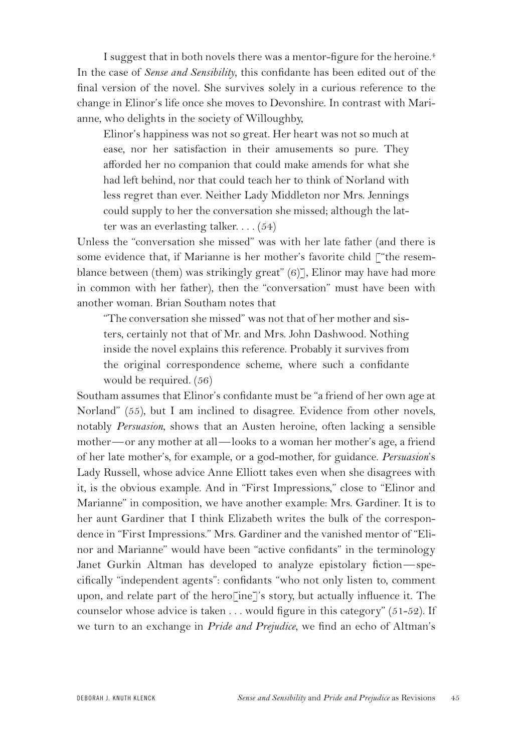I suggest that in both novels there was a mentor-figure for the heroine.<sup>4</sup> In the case of *Sense and Sensibility*, this confidante has been edited out of the final version of the novel. She survives solely in a curious reference to the change in Elinor's life once she moves to Devonshire. In contrast with Marianne, who delights in the society of Willoughby,

Elinor's happiness was not so great. Her heart was not so much at ease, nor her satisfaction in their amusements so pure. They afforded her no companion that could make amends for what she had left behind, nor that could teach her to think of Norland with less regret than ever. Neither Lady Middleton nor Mrs. Jennings could supply to her the conversation she missed; although the latter was an everlasting talker.  $\dots$  (54)

Unless the "conversation she missed" was with her late father (and there is some evidence that, if Marianne is her mother's favorite child ["the resemblance between (them) was strikingly great" (6)], Elinor may have had more in common with her father), then the "conversation" must have been with another woman. Brian Southam notes that

"The conversation she missed" was not that of her mother and sisters, certainly not that of Mr. and Mrs. John Dashwood. Nothing inside the novel explains this reference. Probably it survives from the original correspondence scheme, where such a confidante would be required. (56)

Southam assumes that Elinor's confidante must be "a friend of her own age at Norland" (55), but I am inclined to disagree. Evidence from other novels, notably *Persuasion*, shows that an Austen heroine, often lacking a sensible mother—or any mother at all—looks to a woman her mother's age, a friend of her late mother's, for example, or a god-mother, for guidance. *Persuasion*'s Lady Russell, whose advice Anne Elliott takes even when she disagrees with it, is the obvious example. And in "First Impressions," close to "Elinor and Marianne" in composition, we have another example: Mrs. Gardiner. It is to her aunt Gardiner that I think Elizabeth writes the bulk of the correspondence in "First Impressions." Mrs. Gardiner and the vanished mentor of "Elinor and Marianne" would have been "active confidants" in the terminology Janet Gurkin Altman has developed to analyze epistolary fiction—specifically "independent agents": confidants "who not only listen to, comment upon, and relate part of the hero[ine]'s story, but actually influence it. The counselor whose advice is taken  $\dots$  would figure in this category" (51-52). If we turn to an exchange in *Pride and Prejudice*, we find an echo of Altman's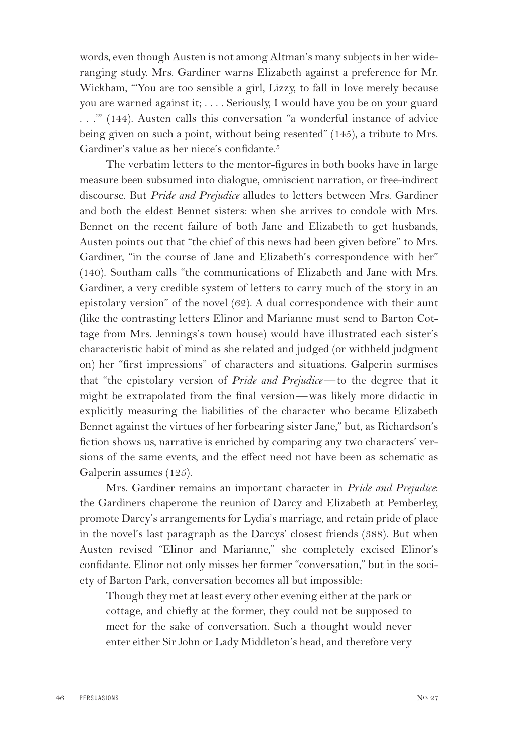words, even though Austen is not among Altman's many subjects in her wideranging study. Mrs. Gardiner warns Elizabeth against a preference for Mr. Wickham, "'You are too sensible a girl, Lizzy, to fall in love merely because you are warned against it; . . . . Seriously, I would have you be on your guard . . .'" (144). Austen calls this conversation "a wonderful instance of advice being given on such a point, without being resented" (145), a tribute to Mrs. Gardiner's value as her niece's confidante.<sup>5</sup>

The verbatim letters to the mentor-figures in both books have in large measure been subsumed into dialogue, omniscient narration, or free-indirect discourse. But *Pride and Prejudice* alludes to letters between Mrs. Gardiner and both the eldest Bennet sisters: when she arrives to condole with Mrs. Bennet on the recent failure of both Jane and Elizabeth to get husbands, Austen points out that "the chief of this news had been given before" to Mrs. Gardiner, "in the course of Jane and Elizabeth's correspondence with her" (140). Southam calls "the communications of Elizabeth and Jane with Mrs. Gardiner, a very credible system of letters to carry much of the story in an epistolary version" of the novel (62). A dual correspondence with their aunt (like the contrasting letters Elinor and Marianne must send to Barton Cottage from Mrs. Jennings's town house) would have illustrated each sister's characteristic habit of mind as she related and judged (or withheld judgment on) her "first impressions" of characters and situations. Galperin surmises that "the epistolary version of *Pride and Prejudice*—to the degree that it might be extrapolated from the final version—was likely more didactic in explicitly measuring the liabilities of the character who became Elizabeth Bennet against the virtues of her forbearing sister Jane," but, as Richardson's fiction shows us, narrative is enriched by comparing any two characters' versions of the same events, and the effect need not have been as schematic as Galperin assumes (125).

Mrs. Gardiner remains an important character in *Pride and Prejudice*: the Gardiners chaperone the reunion of Darcy and Elizabeth at Pemberley, promote Darcy's arrangements for Lydia's marriage, and retain pride of place in the novel's last paragraph as the Darcys' closest friends (388). But when Austen revised "Elinor and Marianne," she completely excised Elinor's confidante. Elinor not only misses her former "conversation," but in the society of Barton Park, conversation becomes all but impossible:

Though they met at least every other evening either at the park or cottage, and chiefly at the former, they could not be supposed to meet for the sake of conversation. Such a thought would never enter either Sir John or Lady Middleton's head, and therefore very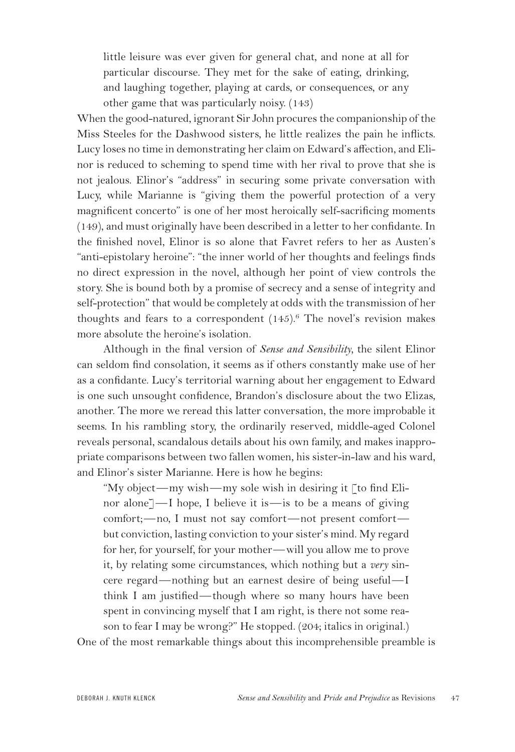little leisure was ever given for general chat, and none at all for particular discourse. They met for the sake of eating, drinking, and laughing together, playing at cards, or consequences, or any other game that was particularly noisy. (143)

When the good-natured, ignorant Sir John procures the companionship of the Miss Steeles for the Dashwood sisters, he little realizes the pain he inflicts. Lucy loses no time in demonstrating her claim on Edward's affection, and Elinor is reduced to scheming to spend time with her rival to prove that she is not jealous. Elinor's "address" in securing some private conversation with Lucy, while Marianne is "giving them the powerful protection of a very magnificent concerto" is one of her most heroically self-sacrificing moments (149), and must originally have been described in a letter to her confidante. In the finished novel, Elinor is so alone that Favret refers to her as Austen's "anti-epistolary heroine": "the inner world of her thoughts and feelings finds no direct expression in the novel, although her point of view controls the story. She is bound both by a promise of secrecy and a sense of integrity and self-protection" that would be completely at odds with the transmission of her thoughts and fears to a correspondent  $(145)$ .<sup>6</sup> The novel's revision makes more absolute the heroine's isolation.

Although in the final version of *Sense and Sensibility,* the silent Elinor can seldom find consolation, it seems as if others constantly make use of her as a confidante. Lucy's territorial warning about her engagement to Edward is one such unsought confidence, Brandon's disclosure about the two Elizas, another. The more we reread this latter conversation, the more improbable it seems. In his rambling story, the ordinarily reserved, middle-aged Colonel reveals personal, scandalous details about his own family, and makes inappropriate comparisons between two fallen women, his sister-in-law and his ward, and Elinor's sister Marianne. Here is how he begins:

"My object—my wish—my sole wish in desiring it [to find Elinor alone]—I hope, I believe it is—is to be a means of giving comfort;—no, I must not say comfort—not present comfort but conviction, lasting conviction to your sister's mind. My regard for her, for yourself, for your mother—will you allow me to prove it, by relating some circumstances, which nothing but a *very* sincere regard—nothing but an earnest desire of being useful—I think I am justified—though where so many hours have been spent in convincing myself that I am right, is there not some reason to fear I may be wrong?" He stopped. (204; italics in original.)

One of the most remarkable things about this incomprehensible preamble is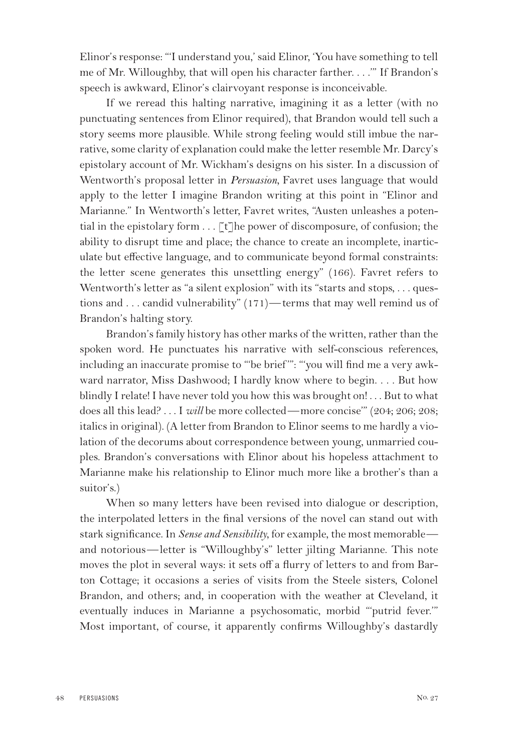Elinor's response: "'I understand you,' said Elinor, 'You have something to tell me of Mr. Willoughby, that will open his character farther. . . .'" If Brandon's speech is awkward, Elinor's clairvoyant response is inconceivable.

If we reread this halting narrative, imagining it as a letter (with no punctuating sentences from Elinor required), that Brandon would tell such a story seems more plausible. While strong feeling would still imbue the narrative, some clarity of explanation could make the letter resemble Mr. Darcy's epistolary account of Mr. Wickham's designs on his sister. In a discussion of Wentworth's proposal letter in *Persuasion,* Favret uses language that would apply to the letter I imagine Brandon writing at this point in "Elinor and Marianne." In Wentworth's letter, Favret writes, "Austen unleashes a potential in the epistolary form . . . [t]he power of discomposure, of confusion; the ability to disrupt time and place; the chance to create an incomplete, inarticulate but effective language, and to communicate beyond formal constraints: the letter scene generates this unsettling energy" (166). Favret refers to Wentworth's letter as "a silent explosion" with its "starts and stops, . . . questions and . . . candid vulnerability" (171)—terms that may well remind us of Brandon's halting story.

Brandon's family history has other marks of the written, rather than the spoken word. He punctuates his narrative with self-conscious references, including an inaccurate promise to "'be brief '": "'you will find me a very awkward narrator, Miss Dashwood; I hardly know where to begin. . . . But how blindly I relate! I have never told you how this was brought on!... But to what does all this lead? . . . I *will* be more collected—more concise'" (204; 206; 208; italics in original). (A letter from Brandon to Elinor seems to me hardly a violation of the decorums about correspondence between young, unmarried couples. Brandon's conversations with Elinor about his hopeless attachment to Marianne make his relationship to Elinor much more like a brother's than a suitor's.)

When so many letters have been revised into dialogue or description, the interpolated letters in the final versions of the novel can stand out with stark significance. In *Sense and Sensibility*, for example, the most memorable and notorious—letter is "Willoughby's" letter jilting Marianne. This note moves the plot in several ways: it sets off a flurry of letters to and from Barton Cottage; it occasions a series of visits from the Steele sisters, Colonel Brandon, and others; and, in cooperation with the weather at Cleveland, it eventually induces in Marianne a psychosomatic, morbid "'putrid fever.'" Most important, of course, it apparently confirms Willoughby's dastardly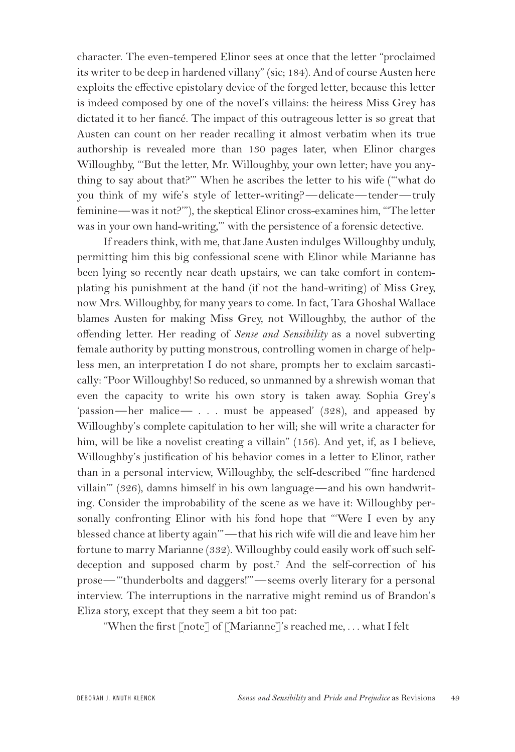character. The even-tempered Elinor sees at once that the letter "proclaimed its writer to be deep in hardened villany" (sic; 184). And of course Austen here exploits the effective epistolary device of the forged letter, because this letter is indeed composed by one of the novel's villains: the heiress Miss Grey has dictated it to her fiancé. The impact of this outrageous letter is so great that Austen can count on her reader recalling it almost verbatim when its true authorship is revealed more than 130 pages later, when Elinor charges Willoughby, "'But the letter, Mr. Willoughby, your own letter; have you anything to say about that?'" When he ascribes the letter to his wife ("'what do you think of my wife's style of letter-writing?—delicate—tender—truly feminine—was it not?'"), the skeptical Elinor cross-examines him, "'The letter was in your own hand-writing,'" with the persistence of a forensic detective.

If readers think, with me, that Jane Austen indulges Willoughby unduly, permitting him this big confessional scene with Elinor while Marianne has been lying so recently near death upstairs, we can take comfort in contemplating his punishment at the hand (if not the hand-writing) of Miss Grey, now Mrs. Willoughby, for many years to come. In fact, Tara Ghoshal Wallace blames Austen for making Miss Grey, not Willoughby, the author of the offending letter. Her reading of *Sense and Sensibility* as a novel subverting female authority by putting monstrous, controlling women in charge of helpless men, an interpretation I do not share, prompts her to exclaim sarcastically: "Poor Willoughby! So reduced, so unmanned by a shrewish woman that even the capacity to write his own story is taken away. Sophia Grey's 'passion—her malice— . . . must be appeased' (328), and appeased by Willoughby's complete capitulation to her will; she will write a character for him, will be like a novelist creating a villain" (156). And yet, if, as I believe, Willoughby's justification of his behavior comes in a letter to Elinor, rather than in a personal interview, Willoughby, the self-described "'fine hardened villain'" (326), damns himself in his own language—and his own handwriting. Consider the improbability of the scene as we have it: Willoughby personally confronting Elinor with his fond hope that "'Were I even by any blessed chance at liberty again'"—that his rich wife will die and leave him her fortune to marry Marianne (332). Willoughby could easily work off such selfdeception and supposed charm by post.<sup>7</sup> And the self-correction of his prose—"'thunderbolts and daggers!'"—seems overly literary for a personal interview. The interruptions in the narrative might remind us of Brandon's Eliza story, except that they seem a bit too pat:

"When the first [note] of [Marianne]'s reached me, . . . what I felt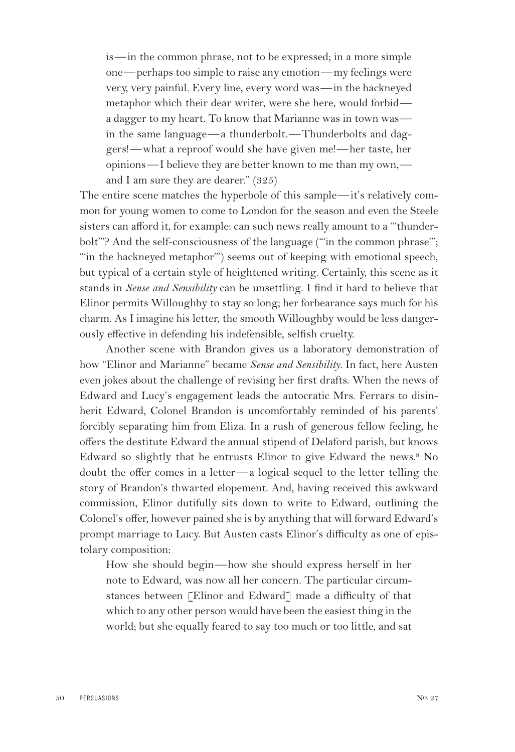is—in the common phrase, not to be expressed; in a more simple one—perhaps too simple to raise any emotion—my feelings were very, very painful. Every line, every word was—in the hackneyed metaphor which their dear writer, were she here, would forbid a dagger to my heart. To know that Marianne was in town was in the same language—a thunderbolt.—Thunderbolts and daggers!—what a reproof would she have given me!—her taste, her opinions—I believe they are better known to me than my own, and I am sure they are dearer." (325)

The entire scene matches the hyperbole of this sample—it's relatively common for young women to come to London for the season and even the Steele sisters can afford it, for example: can such news really amount to a "'thunderbolt'"? And the self-consciousness of the language ("'in the common phrase'"; "'in the hackneyed metaphor'") seems out of keeping with emotional speech, but typical of a certain style of heightened writing. Certainly, this scene as it stands in *Sense and Sensibility* can be unsettling. I find it hard to believe that Elinor permits Willoughby to stay so long; her forbearance says much for his charm. As I imagine his letter, the smooth Willoughby would be less dangerously effective in defending his indefensible, selfish cruelty.

Another scene with Brandon gives us a laboratory demonstration of how "Elinor and Marianne" became *Sense and Sensibility*. In fact, here Austen even jokes about the challenge of revising her first drafts. When the news of Edward and Lucy's engagement leads the autocratic Mrs. Ferrars to disinherit Edward, Colonel Brandon is uncomfortably reminded of his parents' forcibly separating him from Eliza. In a rush of generous fellow feeling, he offers the destitute Edward the annual stipend of Delaford parish, but knows Edward so slightly that he entrusts Elinor to give Edward the news.<sup>8</sup> No doubt the offer comes in a letter—a logical sequel to the letter telling the story of Brandon's thwarted elopement. And, having received this awkward commission, Elinor dutifully sits down to write to Edward, outlining the Colonel's offer, however pained she is by anything that will forward Edward's prompt marriage to Lucy. But Austen casts Elinor's difficulty as one of epistolary composition:

How she should begin—how she should express herself in her note to Edward, was now all her concern. The particular circumstances between [Elinor and Edward] made a difficulty of that which to any other person would have been the easiest thing in the world; but she equally feared to say too much or too little, and sat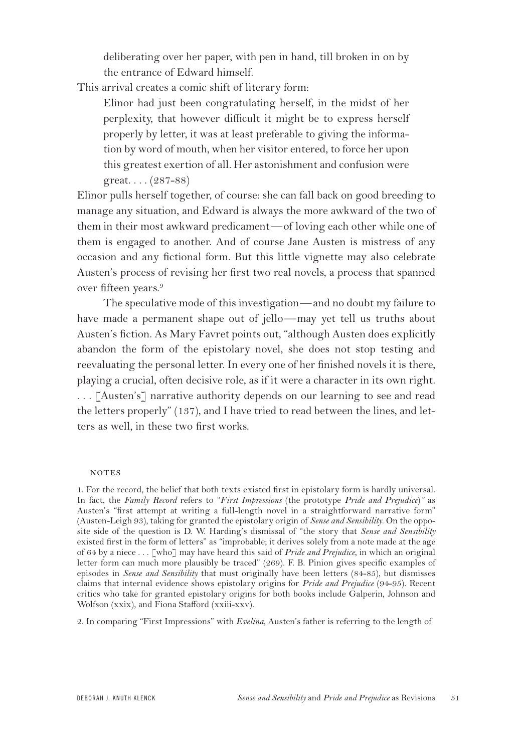deliberating over her paper, with pen in hand, till broken in on by the entrance of Edward himself.

This arrival creates a comic shift of literary form:

Elinor had just been congratulating herself, in the midst of her perplexity, that however difficult it might be to express herself properly by letter, it was at least preferable to giving the information by word of mouth, when her visitor entered, to force her upon this greatest exertion of all. Her astonishment and confusion were great. . . . (287-88)

Elinor pulls herself together, of course: she can fall back on good breeding to manage any situation, and Edward is always the more awkward of the two of them in their most awkward predicament—of loving each other while one of them is engaged to another. And of course Jane Austen is mistress of any occasion and any fictional form. But this little vignette may also celebrate Austen's process of revising her first two real novels, a process that spanned over fifteen years.<sup>9</sup>

The speculative mode of this investigation—and no doubt my failure to have made a permanent shape out of jello—may yet tell us truths about Austen's fiction. As Mary Favret points out, "although Austen does explicitly abandon the form of the epistolary novel, she does not stop testing and reevaluating the personal letter. In every one of her finished novels it is there, playing a crucial, often decisive role, as if it were a character in its own right. . . . [Austen's] narrative authority depends on our learning to see and read the letters properly" (137), and I have tried to read between the lines, and letters as well, in these two first works.

## **NOTES**

1. For the record, the belief that both texts existed first in epistolary form is hardly universal. In fact, the *Family Record* refers to "*First Impressions* (the prototype *Pride and Prejudice*)*"* as Austen's "first attempt at writing a full-length novel in a straightforward narrative form" (Austen-Leigh 93), taking for granted the epistolary origin of *Sense and Sensibility*. On the opposite side of the question is D. W. Harding's dismissal of "the story that *Sense and Sensibility* existed first in the form of letters" as "improbable; it derives solely from a note made at the age of 64 by a niece . . . [who] may have heard this said of *Pride and Prejudice*, in which an original letter form can much more plausibly be traced" (269). F. B. Pinion gives specific examples of episodes in *Sense and Sensibility* that must originally have been letters (84-85), but dismisses claims that internal evidence shows epistolary origins for *Pride and Prejudice* (94-95). Recent critics who take for granted epistolary origins for both books include Galperin, Johnson and Wolfson (xxix), and Fiona Stafford (xxiii-xxv).

2. In comparing "First Impressions" with *Evelina*, Austen's father is referring to the length of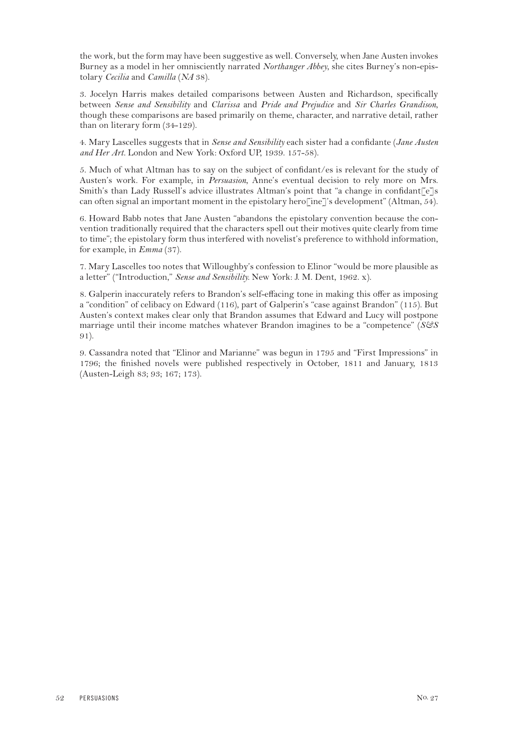the work, but the form may have been suggestive as well. Conversely, when Jane Austen invokes Burney as a model in her omnisciently narrated *Northanger Abbey*, she cites Burney's non-epistolary *Cecilia* and *Camilla* (*NA* 38).

3. Jocelyn Harris makes detailed comparisons between Austen and Richardson, specifically between *Sense and Sensibility* and *Clarissa* and *Pride and Prejudice* and *Sir Charles Grandison*, though these comparisons are based primarily on theme, character, and narrative detail, rather than on literary form (34-129).

4. Mary Lascelles suggests that in *Sense and Sensibility* each sister had a confidante (*Jane Austen and Her Art.* London and New York: Oxford UP, 1939. 157-58).

5. Much of what Altman has to say on the subject of confidant/es is relevant for the study of Austen's work. For example, in *Persuasion*, Anne's eventual decision to rely more on Mrs. Smith's than Lady Russell's advice illustrates Altman's point that "a change in confidant[e]s can often signal an important moment in the epistolary hero[ine]'s development" (Altman, 54).

6. Howard Babb notes that Jane Austen "abandons the epistolary convention because the convention traditionally required that the characters spell out their motives quite clearly from time to time"; the epistolary form thus interfered with novelist's preference to withhold information, for example, in *Emma* (37).

7. Mary Lascelles too notes that Willoughby's confession to Elinor "would be more plausible as a letter" ("Introduction," *Sense and Sensibility.* New York: J. M. Dent, 1962. x).

8. Galperin inaccurately refers to Brandon's self-effacing tone in making this offer as imposing a "condition" of celibacy on Edward (116), part of Galperin's "case against Brandon" (115). But Austen's context makes clear only that Brandon assumes that Edward and Lucy will postpone marriage until their income matches whatever Brandon imagines to be a "competence" (*S&S* 91).

9. Cassandra noted that "Elinor and Marianne" was begun in 1795 and "First Impressions" in 1796; the finished novels were published respectively in October, 1811 and January, 1813 (Austen-Leigh 83; 93; 167; 173).